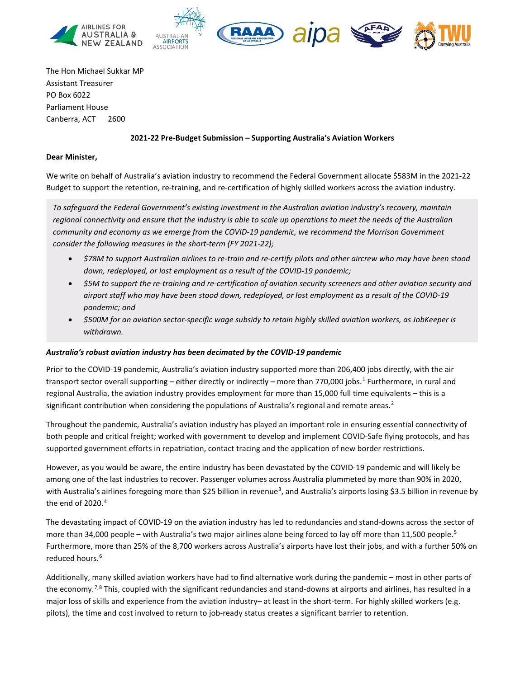



The Hon Michael Sukkar MP Assistant Treasurer PO Box 6022 Parliament House Canberra, ACT 2600

### **2021-22 Pre-Budget Submission – Supporting Australia's Aviation Workers**

### **Dear Minister,**

We write on behalf of Australia's aviation industry to recommend the Federal Government allocate \$583M in the 2021-22 Budget to support the retention, re-training, and re-certification of highly skilled workers across the aviation industry.

*To safeguard the Federal Government's existing investment in the Australian aviation industry's recovery, maintain regional connectivity and ensure that the industry is able to scale up operations to meet the needs of the Australian community and economy as we emerge from the COVID-19 pandemic, we recommend the Morrison Government consider the following measures in the short-term (FY 2021-22);*

- *\$78M to support Australian airlines to re-train and re-certify pilots and other aircrew who may have been stood down, redeployed, or lost employment as a result of the COVID-19 pandemic;*
- *\$5M to support the re-training and re-certification of aviation security screeners and other aviation security and airport staff who may have been stood down, redeployed, or lost employment as a result of the COVID-19 pandemic; and*
- *\$500M for an aviation sector-specific wage subsidy to retain highly skilled aviation workers, as JobKeeper is withdrawn.*

### *Australia's robust aviation industry has been decimated by the COVID-19 pandemic*

Prior to the COVID-19 pandemic, Australia's aviation industry supported more than 206,400 jobs directly, with the air transport sector overall supporting – either directly or indirectly – more than 770,000 jobs.<sup>[1](#page-3-0)</sup> Furthermore, in rural and regional Australia, the aviation industry provides employment for more than 15,000 full time equivalents – this is a significant contribution when considering the populations of Australia's regional and remote areas.<sup>[2](#page-3-1)</sup>

Throughout the pandemic, Australia's aviation industry has played an important role in ensuring essential connectivity of both people and critical freight; worked with government to develop and implement COVID-Safe flying protocols, and has supported government efforts in repatriation, contact tracing and the application of new border restrictions.

However, as you would be aware, the entire industry has been devastated by the COVID-19 pandemic and will likely be among one of the last industries to recover. Passenger volumes across Australia plummeted by more than 90% in 2020, with Australia's airlines foregoing more than \$25 billion in revenue<sup>[3](#page-3-2)</sup>, and Australia's airports losing \$3.5 billion in revenue by the end of 2020. [4](#page-3-3)

The devastating impact of COVID-19 on the aviation industry has led to redundancies and stand-downs across the sector of more than 34,000 people – with Australia's two major airlines alone being forced to lay off more than 11,[5](#page-3-4)00 people.<sup>5</sup> Furthermore, more than 25% of the 8,700 workers across Australia's airports have lost their jobs, and with a further 50% on reduced hours.<sup>[6](#page-3-5)</sup>

Additionally, many skilled aviation workers have had to find alternative work during the pandemic – most in other parts of the economy.<sup>[7,](#page-3-6)[8](#page-3-7)</sup> This, coupled with the significant redundancies and stand-downs at airports and airlines, has resulted in a major loss of skills and experience from the aviation industry– at least in the short-term. For highly skilled workers (e.g. pilots), the time and cost involved to return to job-ready status creates a significant barrier to retention.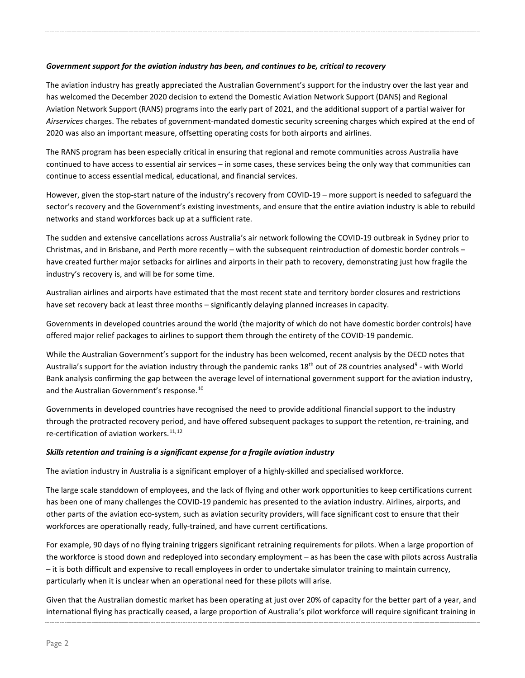# *Government support for the aviation industry has been, and continues to be, critical to recovery*

The aviation industry has greatly appreciated the Australian Government's support for the industry over the last year and has welcomed the December 2020 decision to extend the Domestic Aviation Network Support (DANS) and Regional Aviation Network Support (RANS) programs into the early part of 2021, and the additional support of a partial waiver for *Airservices* charges. The rebates of government-mandated domestic security screening charges which expired at the end of 2020 was also an important measure, offsetting operating costs for both airports and airlines.

The RANS program has been especially critical in ensuring that regional and remote communities across Australia have continued to have access to essential air services – in some cases, these services being the only way that communities can continue to access essential medical, educational, and financial services.

However, given the stop-start nature of the industry's recovery from COVID-19 – more support is needed to safeguard the sector's recovery and the Government's existing investments, and ensure that the entire aviation industry is able to rebuild networks and stand workforces back up at a sufficient rate.

The sudden and extensive cancellations across Australia's air network following the COVID-19 outbreak in Sydney prior to Christmas, and in Brisbane, and Perth more recently – with the subsequent reintroduction of domestic border controls – have created further major setbacks for airlines and airports in their path to recovery, demonstrating just how fragile the industry's recovery is, and will be for some time.

Australian airlines and airports have estimated that the most recent state and territory border closures and restrictions have set recovery back at least three months – significantly delaying planned increases in capacity.

Governments in developed countries around the world (the majority of which do not have domestic border controls) have offered major relief packages to airlines to support them through the entirety of the COVID-19 pandemic.

While the Australian Government's support for the industry has been welcomed, recent analysis by the OECD notes that Australia's support for the aviation industry through the pandemic ranks 18<sup>th</sup> out of 28 countries analysed<sup>[9](#page-3-8)</sup> - with World Bank analysis confirming the gap between the average level of international government support for the aviation industry, and the Australian Government's response.<sup>[10](#page-3-9)</sup>

Governments in developed countries have recognised the need to provide additional financial support to the industry through the protracted recovery period, and have offered subsequent packages to support the retention, re-training, and re-certification of aviation workers. $11,12$  $11,12$  $11,12$ 

## *Skills retention and training is a significant expense for a fragile aviation industry*

The aviation industry in Australia is a significant employer of a highly-skilled and specialised workforce.

The large scale standdown of employees, and the lack of flying and other work opportunities to keep certifications current has been one of many challenges the COVID-19 pandemic has presented to the aviation industry. Airlines, airports, and other parts of the aviation eco-system, such as aviation security providers, will face significant cost to ensure that their workforces are operationally ready, fully-trained, and have current certifications.

For example, 90 days of no flying training triggers significant retraining requirements for pilots. When a large proportion of the workforce is stood down and redeployed into secondary employment – as has been the case with pilots across Australia – it is both difficult and expensive to recall employees in order to undertake simulator training to maintain currency, particularly when it is unclear when an operational need for these pilots will arise.

Given that the Australian domestic market has been operating at just over 20% of capacity for the better part of a year, and international flying has practically ceased, a large proportion of Australia's pilot workforce will require significant training in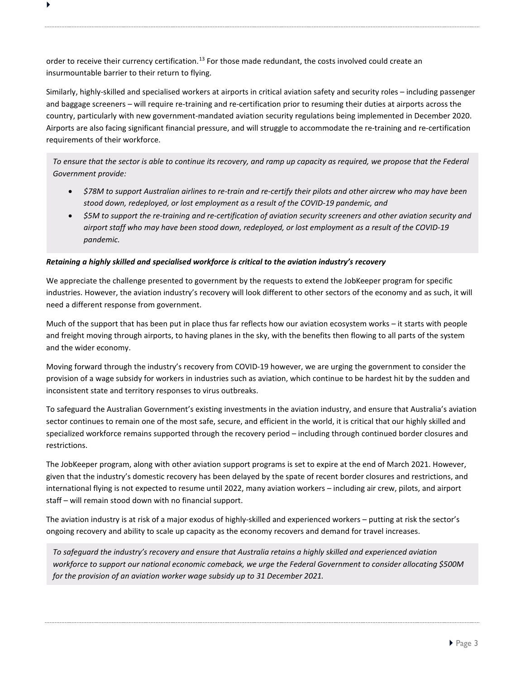order to receive their currency certification.<sup>[13](#page-3-12)</sup> For those made redundant, the costs involved could create an insurmountable barrier to their return to flying.

 $\blacktriangleright$ 

Similarly, highly-skilled and specialised workers at airports in critical aviation safety and security roles – including passenger and baggage screeners – will require re-training and re-certification prior to resuming their duties at airports across the country, particularly with new government-mandated aviation security regulations being implemented in December 2020. Airports are also facing significant financial pressure, and will struggle to accommodate the re-training and re-certification requirements of their workforce.

*To ensure that the sector is able to continue its recovery, and ramp up capacity as required, we propose that the Federal Government provide:*

- *\$78M to support Australian airlines to re-train and re-certify their pilots and other aircrew who may have been stood down, redeployed, or lost employment as a result of the COVID-19 pandemic, and*
- *\$5M to support the re-training and re-certification of aviation security screeners and other aviation security and airport staff who may have been stood down, redeployed, or lost employment as a result of the COVID-19 pandemic.*

## *Retaining a highly skilled and specialised workforce is critical to the aviation industry's recovery*

We appreciate the challenge presented to government by the requests to extend the JobKeeper program for specific industries. However, the aviation industry's recovery will look different to other sectors of the economy and as such, it will need a different response from government.

Much of the support that has been put in place thus far reflects how our aviation ecosystem works – it starts with people and freight moving through airports, to having planes in the sky, with the benefits then flowing to all parts of the system and the wider economy.

Moving forward through the industry's recovery from COVID-19 however, we are urging the government to consider the provision of a wage subsidy for workers in industries such as aviation, which continue to be hardest hit by the sudden and inconsistent state and territory responses to virus outbreaks.

To safeguard the Australian Government's existing investments in the aviation industry, and ensure that Australia's aviation sector continues to remain one of the most safe, secure, and efficient in the world, it is critical that our highly skilled and specialized workforce remains supported through the recovery period – including through continued border closures and restrictions.

The JobKeeper program, along with other aviation support programs is set to expire at the end of March 2021. However, given that the industry's domestic recovery has been delayed by the spate of recent border closures and restrictions, and international flying is not expected to resume until 2022, many aviation workers – including air crew, pilots, and airport staff – will remain stood down with no financial support.

The aviation industry is at risk of a major exodus of highly-skilled and experienced workers – putting at risk the sector's ongoing recovery and ability to scale up capacity as the economy recovers and demand for travel increases.

*To safeguard the industry's recovery and ensure that Australia retains a highly skilled and experienced aviation workforce to support our national economic comeback, we urge the Federal Government to consider allocating \$500M for the provision of an aviation worker wage subsidy up to 31 December 2021.*